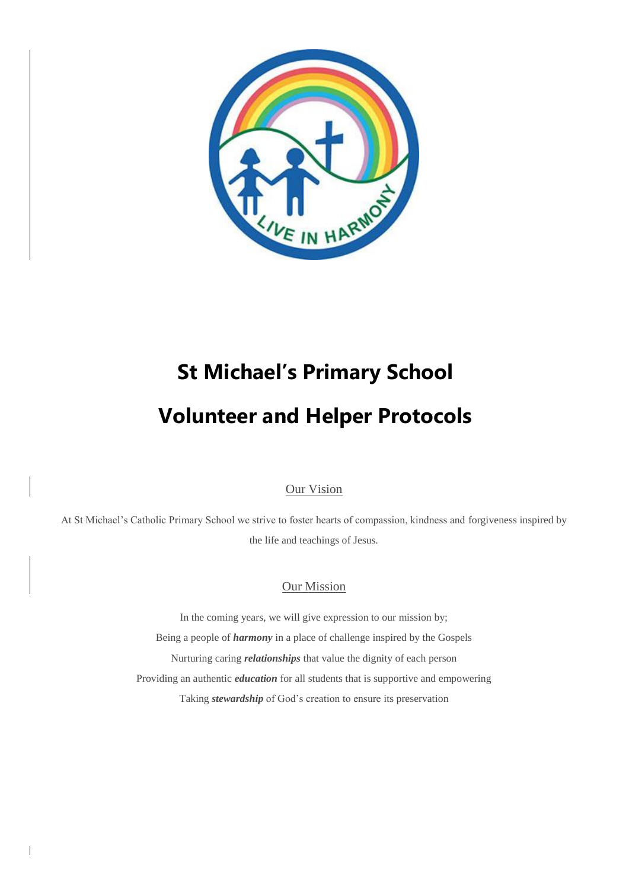

# **St Michael's Primary School Volunteer and Helper Protocols**

#### Our Vision

At St Michael's Catholic Primary School we strive to foster hearts of compassion, kindness and forgiveness inspired by the life and teachings of Jesus.

#### Our Mission

In the coming years, we will give expression to our mission by; Being a people of *harmony* in a place of challenge inspired by the Gospels Nurturing caring *relationships* that value the dignity of each person Providing an authentic *education* for all students that is supportive and empowering Taking *stewardship* of God's creation to ensure its preservation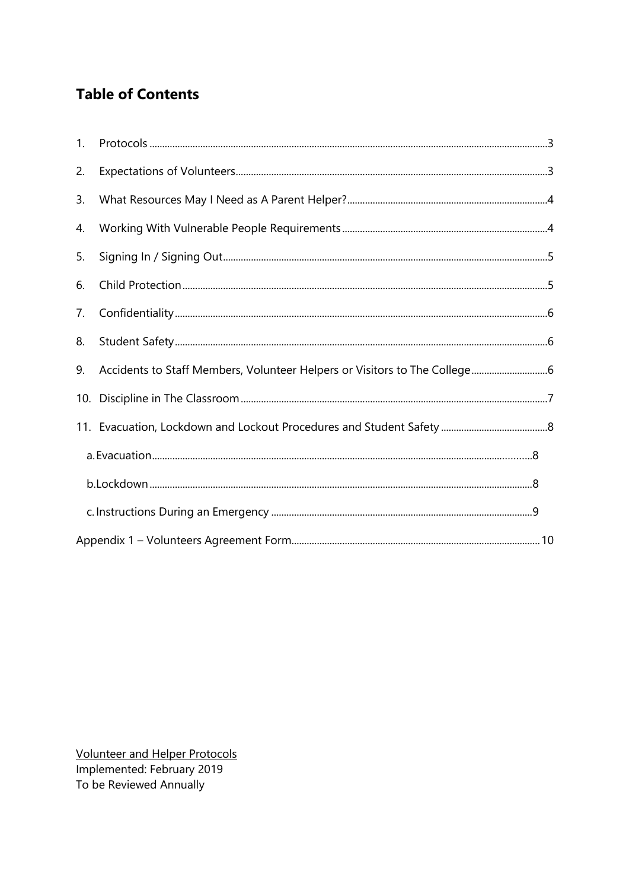# **Table of Contents**

| 1. |  |  |  |  |
|----|--|--|--|--|
| 2. |  |  |  |  |
| 3. |  |  |  |  |
| 4. |  |  |  |  |
| 5. |  |  |  |  |
| 6. |  |  |  |  |
| 7. |  |  |  |  |
| 8. |  |  |  |  |
| 9. |  |  |  |  |
|    |  |  |  |  |
|    |  |  |  |  |
|    |  |  |  |  |
|    |  |  |  |  |
|    |  |  |  |  |
|    |  |  |  |  |

Volunteer and Helper Protocols Implemented: February 2019<br>To be Reviewed Annually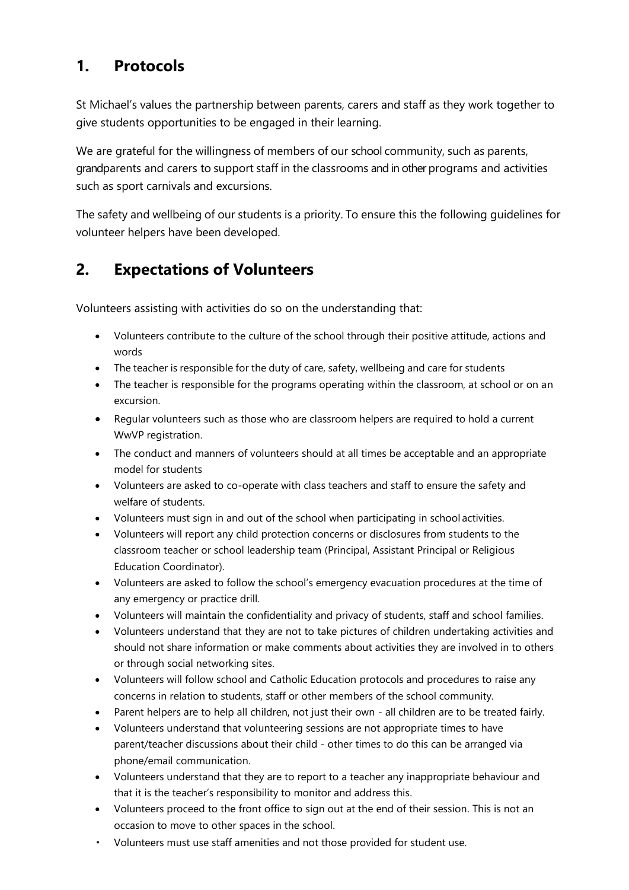#### <span id="page-2-0"></span>**1. Protocols**

St Michael's values the partnership between parents, carers and staff as they work together to give students opportunities to be engaged in their learning.

We are grateful for the willingness of members of our school community, such as parents, grandparents and carers to support staff in the classrooms and in other programs and activities such as sport carnivals and excursions.

The safety and wellbeing of our students is a priority. To ensure this the following guidelines for volunteer helpers have been developed.

#### <span id="page-2-1"></span>**2. Expectations of Volunteers**

Volunteers assisting with activities do so on the understanding that:

- Volunteers contribute to the culture of the school through their positive attitude, actions and words
- The teacher is responsible for the duty of care, safety, wellbeing and care for students
- The teacher is responsible for the programs operating within the classroom, at school or on an excursion.
- Regular volunteers such as those who are classroom helpers are required to hold a current WwVP registration.
- The conduct and manners of volunteers should at all times be acceptable and an appropriate model for students
- Volunteers are asked to co-operate with class teachers and staff to ensure the safety and welfare of students.
- Volunteers must sign in and out of the school when participating in school activities.
- Volunteers will report any child protection concerns or disclosures from students to the classroom teacher or school leadership team (Principal, Assistant Principal or Religious Education Coordinator).
- Volunteers are asked to follow the school's emergency evacuation procedures at the time of any emergency or practice drill.
- Volunteers will maintain the confidentiality and privacy of students, staff and school families.
- Volunteers understand that they are not to take pictures of children undertaking activities and should not share information or make comments about activities they are involved in to others or through social networking sites.
- Volunteers will follow school and Catholic Education protocols and procedures to raise any concerns in relation to students, staff or other members of the school community.
- Parent helpers are to help all children, not just their own all children are to be treated fairly.
- Volunteers understand that volunteering sessions are not appropriate times to have parent/teacher discussions about their child - other times to do this can be arranged via phone/email communication.
- Volunteers understand that they are to report to a teacher any inappropriate behaviour and that it is the teacher's responsibility to monitor and address this.
- Volunteers proceed to the front office to sign out at the end of their session. This is not an occasion to move to other spaces in the school.
- Volunteers must use staff amenities and not those provided for student use.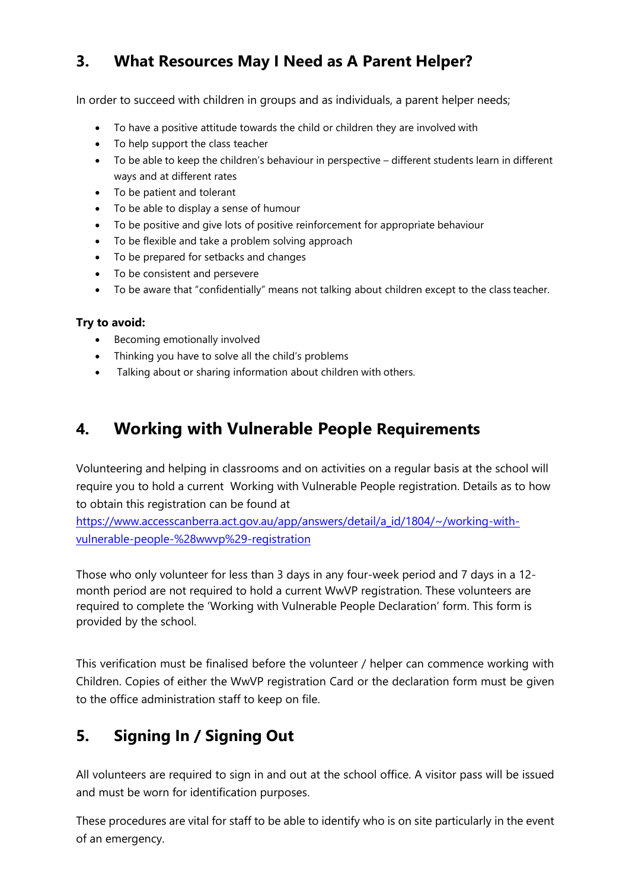# <span id="page-3-0"></span>**3. What Resources May I Need as A Parent Helper?**

In order to succeed with children in groups and as individuals, a parent helper needs;

- To have a positive attitude towards the child or children they are involved with
- To help support the class teacher
- To be able to keep the children's behaviour in perspective different students learn in different ways and at different rates
- To be patient and tolerant
- To be able to display a sense of humour
- To be positive and give lots of positive reinforcement for appropriate behaviour
- To be flexible and take a problem solving approach
- To be prepared for setbacks and changes
- To be consistent and persevere
- To be aware that "confidentially" means not talking about children except to the class teacher.

#### **Try to avoid:**

- Becoming emotionally involved
- Thinking you have to solve all the child's problems
- Talking about or sharing information about children with others.

### <span id="page-3-1"></span>**4. Working with Vulnerable People Requirements**

Volunteering and helping in classrooms and on activities on a regular basis at the school will require you to hold a current Working with Vulnerable People registration. Details as to how to obtain this registration can be found at

[https://www.accesscanberra.act.gov.au/app/answers/detail/a\\_id/1804/~/working-with](https://www.accesscanberra.act.gov.au/app/answers/detail/a_id/1804/~/working-with-vulnerable-people-%28wwvp%29-registration)[vulnerable-people-%28wwvp%29-registration](https://www.accesscanberra.act.gov.au/app/answers/detail/a_id/1804/~/working-with-vulnerable-people-%28wwvp%29-registration)

Those who only volunteer for less than 3 days in any four-week period and 7 days in a 12 month period are not required to hold a current WwVP registration. These volunteers are required to complete the 'Working with Vulnerable People Declaration' form. This form is provided by the school.

This verification must be finalised before the volunteer / helper can commence working with Children. Copies of either the WwVP registration Card or the declaration form must be given to the office administration staff to keep on file.

## <span id="page-3-2"></span>**5. Signing In / Signing Out**

All volunteers are required to sign in and out at the school office. A visitor pass will be issued and must be worn for identification purposes.

These procedures are vital for staff to be able to identify who is on site particularly in the event of an emergency.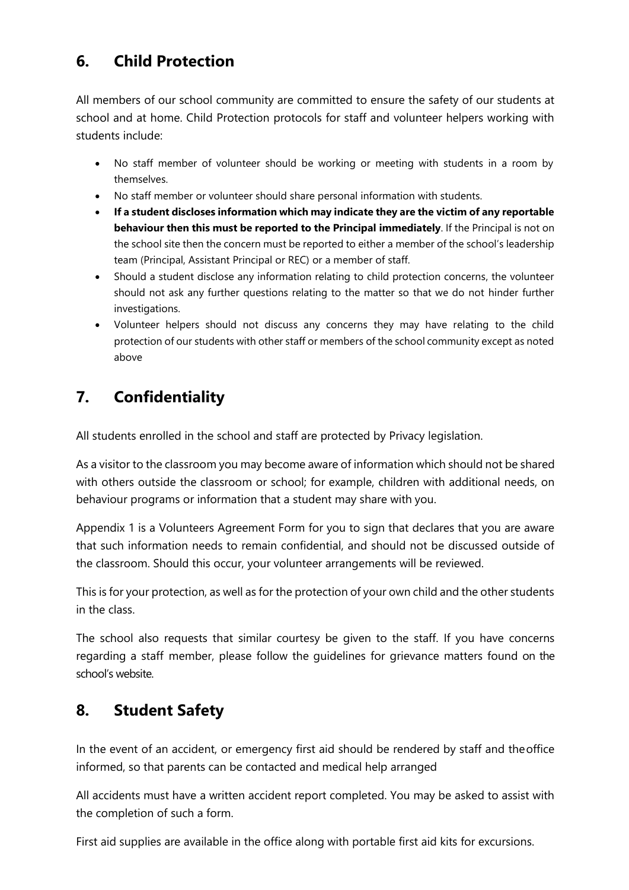# <span id="page-4-0"></span>**6. Child Protection**

All members of our school community are committed to ensure the safety of our students at school and at home. Child Protection protocols for staff and volunteer helpers working with students include:

- No staff member of volunteer should be working or meeting with students in a room by themselves.
- No staff member or volunteer should share personal information with students.
- **If a student discloses information which may indicate they are the victim of any reportable behaviour then this must be reported to the Principal immediately**. If the Principal is not on the school site then the concern must be reported to either a member of the school's leadership team (Principal, Assistant Principal or REC) or a member of staff.
- Should a student disclose any information relating to child protection concerns, the volunteer should not ask any further questions relating to the matter so that we do not hinder further investigations.
- Volunteer helpers should not discuss any concerns they may have relating to the child protection of our students with other staff or members of the school community except as noted above

# <span id="page-4-1"></span>**7. Confidentiality**

All students enrolled in the school and staff are protected by Privacy legislation.

As a visitor to the classroom you may become aware of information which should not be shared with others outside the classroom or school; for example, children with additional needs, on behaviour programs or information that a student may share with you.

Appendix 1 is a Volunteers Agreement Form for you to sign that declares that you are aware that such information needs to remain confidential, and should not be discussed outside of the classroom. Should this occur, your volunteer arrangements will be reviewed.

This is for your protection, as well as for the protection of your own child and the other students in the class.

The school also requests that similar courtesy be given to the staff. If you have concerns regarding a staff member, please follow the guidelines for grievance matters found on the school's website.

## <span id="page-4-2"></span>**8. Student Safety**

In the event of an accident, or emergency first aid should be rendered by staff and theoffice informed, so that parents can be contacted and medical help arranged

All accidents must have a written accident report completed. You may be asked to assist with the completion of such a form.

First aid supplies are available in the office along with portable first aid kits for excursions.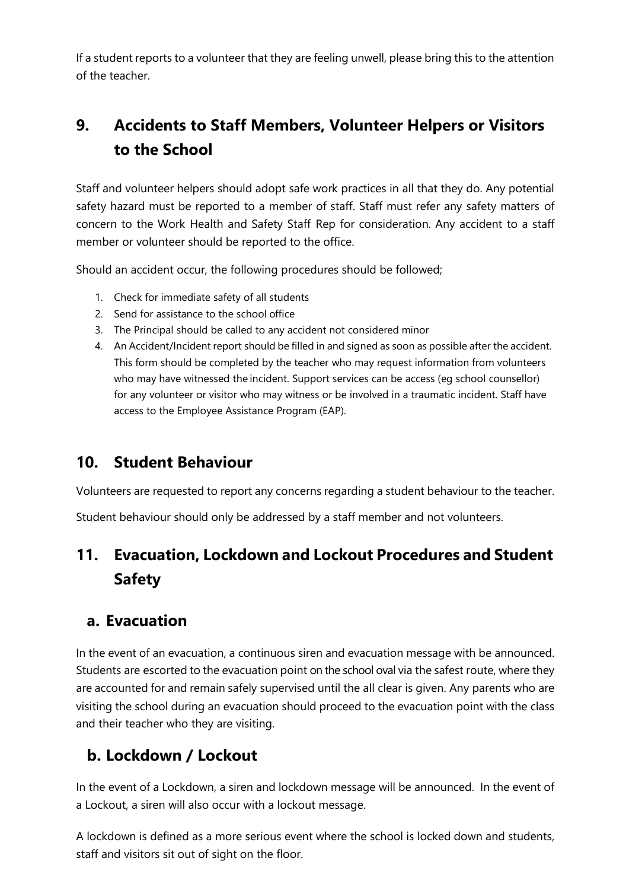If a student reports to a volunteer that they are feeling unwell, please bring this to the attention of the teacher.

# <span id="page-5-0"></span>**9. Accidents to Staff Members, Volunteer Helpers or Visitors to the School**

Staff and volunteer helpers should adopt safe work practices in all that they do. Any potential safety hazard must be reported to a member of staff. Staff must refer any safety matters of concern to the Work Health and Safety Staff Rep for consideration. Any accident to a staff member or volunteer should be reported to the office.

Should an accident occur, the following procedures should be followed;

- 1. Check for immediate safety of all students
- 2. Send for assistance to the school office
- 3. The Principal should be called to any accident not considered minor
- 4. An Accident/Incident report should be filled in and signed as soon as possible after the accident. This form should be completed by the teacher who may request information from volunteers who may have witnessed the incident. Support services can be access (eg school counsellor) for any volunteer or visitor who may witness or be involved in a traumatic incident. Staff have access to the Employee Assistance Program (EAP).

#### <span id="page-5-1"></span>**10. Student Behaviour**

Volunteers are requested to report any concerns regarding a student behaviour to the teacher.

Student behaviour should only be addressed by a staff member and not volunteers.

# <span id="page-5-2"></span>**11. Evacuation, Lockdown and Lockout Procedures and Student Safety**

#### <span id="page-5-3"></span>**a. Evacuation**

In the event of an evacuation, a continuous siren and evacuation message with be announced. Students are escorted to the evacuation point on the school oval via the safest route, where they are accounted for and remain safely supervised until the all clear is given. Any parents who are visiting the school during an evacuation should proceed to the evacuation point with the class and their teacher who they are visiting.

## <span id="page-5-4"></span>**b. Lockdown / Lockout**

In the event of a Lockdown, a siren and lockdown message will be announced. In the event of a Lockout, a siren will also occur with a lockout message.

A lockdown is defined as a more serious event where the school is locked down and students, staff and visitors sit out of sight on the floor.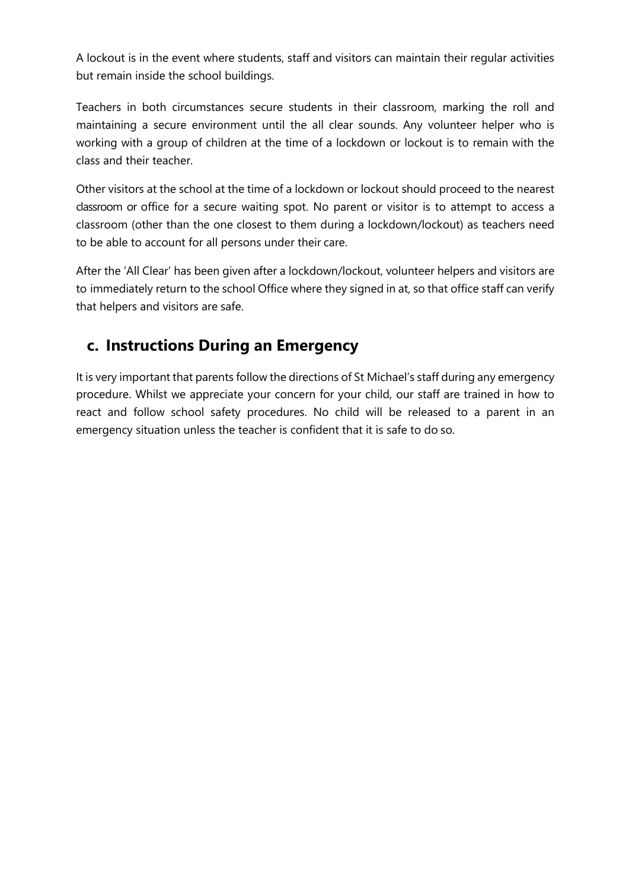A lockout is in the event where students, staff and visitors can maintain their regular activities but remain inside the school buildings.

Teachers in both circumstances secure students in their classroom, marking the roll and maintaining a secure environment until the all clear sounds. Any volunteer helper who is working with a group of children at the time of a lockdown or lockout is to remain with the class and their teacher.

Other visitors at the school at the time of a lockdown or lockout should proceed to the nearest classroom or office for a secure waiting spot. No parent or visitor is to attempt to access a classroom (other than the one closest to them during a lockdown/lockout) as teachers need to be able to account for all persons under their care.

After the 'All Clear' has been given after a lockdown/lockout, volunteer helpers and visitors are to immediately return to the school Office where they signed in at, so that office staff can verify that helpers and visitors are safe.

#### <span id="page-6-0"></span>**c. Instructions During an Emergency**

It is very important that parents follow the directions of St Michael's staff during any emergency procedure. Whilst we appreciate your concern for your child, our staff are trained in how to react and follow school safety procedures. No child will be released to a parent in an emergency situation unless the teacher is confident that it is safe to do so.